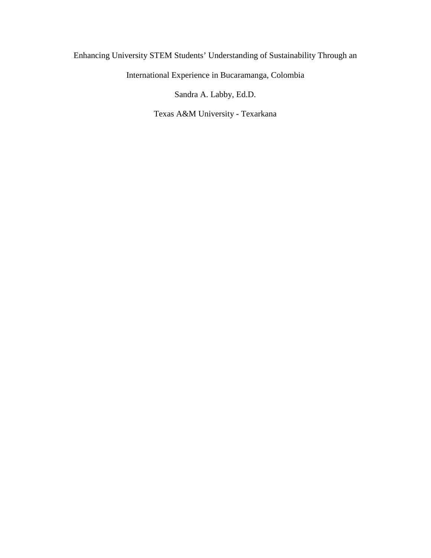# Enhancing University STEM Students' Understanding of Sustainability Through an

International Experience in Bucaramanga, Colombia

Sandra A. Labby, Ed.D.

Texas A&M University - Texarkana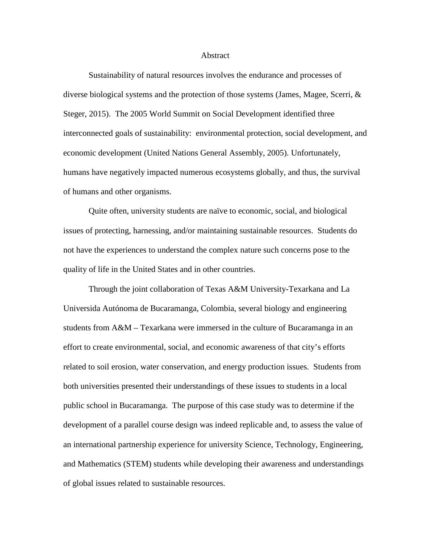### Abstract

Sustainability of natural resources involves the endurance and processes of diverse biological systems and the protection of those systems (James, Magee, Scerri,  $\&$ Steger, 2015). The 2005 World Summit on Social Development identified three interconnected goals of sustainability: environmental protection, social development, and economic development (United Nations General Assembly, 2005). Unfortunately, humans have negatively impacted numerous ecosystems globally, and thus, the survival of humans and other organisms.

Quite often, university students are naïve to economic, social, and biological issues of protecting, harnessing, and/or maintaining sustainable resources. Students do not have the experiences to understand the complex nature such concerns pose to the quality of life in the United States and in other countries.

Through the joint collaboration of Texas A&M University-Texarkana and La Universida Autónoma de Bucaramanga, Colombia, several biology and engineering students from A&M – Texarkana were immersed in the culture of Bucaramanga in an effort to create environmental, social, and economic awareness of that city's efforts related to soil erosion, water conservation, and energy production issues. Students from both universities presented their understandings of these issues to students in a local public school in Bucaramanga. The purpose of this case study was to determine if the development of a parallel course design was indeed replicable and, to assess the value of an international partnership experience for university Science, Technology, Engineering, and Mathematics (STEM) students while developing their awareness and understandings of global issues related to sustainable resources.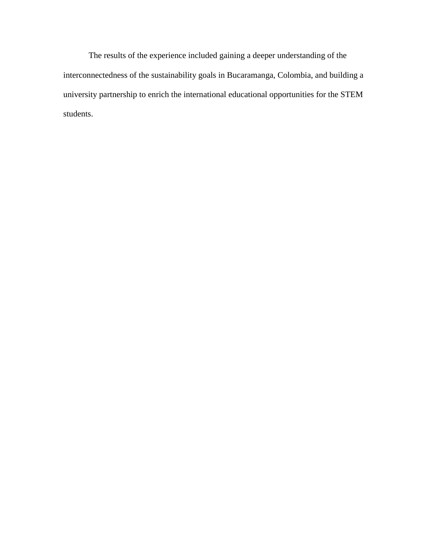The results of the experience included gaining a deeper understanding of the interconnectedness of the sustainability goals in Bucaramanga, Colombia, and building a university partnership to enrich the international educational opportunities for the STEM students.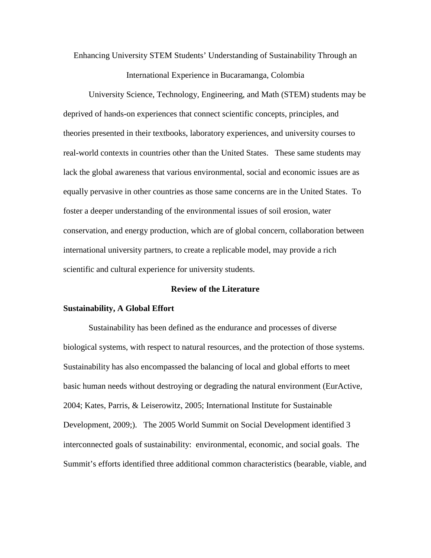Enhancing University STEM Students' Understanding of Sustainability Through an International Experience in Bucaramanga, Colombia

University Science, Technology, Engineering, and Math (STEM) students may be deprived of hands-on experiences that connect scientific concepts, principles, and theories presented in their textbooks, laboratory experiences, and university courses to real-world contexts in countries other than the United States. These same students may lack the global awareness that various environmental, social and economic issues are as equally pervasive in other countries as those same concerns are in the United States. To foster a deeper understanding of the environmental issues of soil erosion, water conservation, and energy production, which are of global concern, collaboration between international university partners, to create a replicable model, may provide a rich scientific and cultural experience for university students.

# **Review of the Literature**

## **Sustainability, A Global Effort**

Sustainability has been defined as the endurance and processes of diverse biological systems, with respect to natural resources, and the protection of those systems. Sustainability has also encompassed the balancing of local and global efforts to meet basic human needs without destroying or degrading the natural environment (EurActive, 2004; Kates, Parris, & Leiserowitz, 2005; International Institute for Sustainable Development, 2009;). The 2005 World Summit on Social Development identified 3 interconnected goals of sustainability: environmental, economic, and social goals. The Summit's efforts identified three additional common characteristics (bearable, viable, and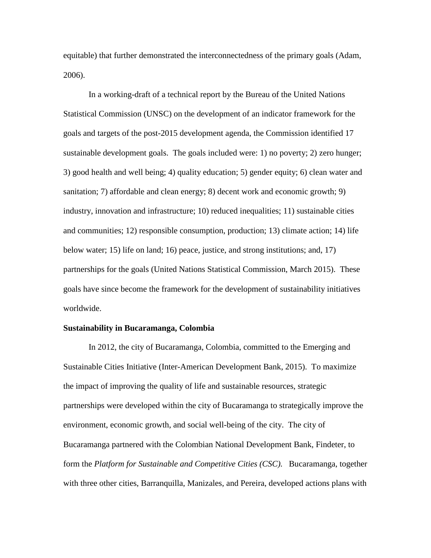equitable) that further demonstrated the interconnectedness of the primary goals (Adam, 2006).

In a working-draft of a technical report by the Bureau of the United Nations Statistical Commission (UNSC) on the development of an indicator framework for the goals and targets of the post-2015 development agenda, the Commission identified 17 sustainable development goals. The goals included were: 1) no poverty; 2) zero hunger; 3) good health and well being; 4) quality education; 5) gender equity; 6) clean water and sanitation; 7) affordable and clean energy; 8) decent work and economic growth; 9) industry, innovation and infrastructure; 10) reduced inequalities; 11) sustainable cities and communities; 12) responsible consumption, production; 13) climate action; 14) life below water; 15) life on land; 16) peace, justice, and strong institutions; and, 17) partnerships for the goals (United Nations Statistical Commission, March 2015). These goals have since become the framework for the development of sustainability initiatives worldwide.

### **Sustainability in Bucaramanga, Colombia**

In 2012, the city of Bucaramanga, Colombia, committed to the Emerging and Sustainable Cities Initiative (Inter-American Development Bank, 2015). To maximize the impact of improving the quality of life and sustainable resources, strategic partnerships were developed within the city of Bucaramanga to strategically improve the environment, economic growth, and social well-being of the city. The city of Bucaramanga partnered with the Colombian National Development Bank, Findeter, to form the *Platform for Sustainable and Competitive Cities (CSC).* Bucaramanga, together with three other cities, Barranquilla, Manizales, and Pereira, developed actions plans with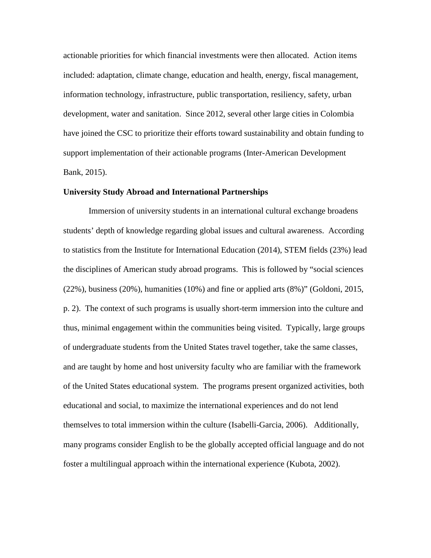actionable priorities for which financial investments were then allocated. Action items included: adaptation, climate change, education and health, energy, fiscal management, information technology, infrastructure, public transportation, resiliency, safety, urban development, water and sanitation. Since 2012, several other large cities in Colombia have joined the CSC to prioritize their efforts toward sustainability and obtain funding to support implementation of their actionable programs (Inter-American Development Bank, 2015).

## **University Study Abroad and International Partnerships**

Immersion of university students in an international cultural exchange broadens students' depth of knowledge regarding global issues and cultural awareness. According to statistics from the Institute for International Education (2014), STEM fields (23%) lead the disciplines of American study abroad programs. This is followed by "social sciences (22%), business (20%), humanities (10%) and fine or applied arts (8%)" (Goldoni, 2015, p. 2). The context of such programs is usually short-term immersion into the culture and thus, minimal engagement within the communities being visited. Typically, large groups of undergraduate students from the United States travel together, take the same classes, and are taught by home and host university faculty who are familiar with the framework of the United States educational system. The programs present organized activities, both educational and social, to maximize the international experiences and do not lend themselves to total immersion within the culture (Isabelli-Garcia, 2006). Additionally, many programs consider English to be the globally accepted official language and do not foster a multilingual approach within the international experience (Kubota, 2002).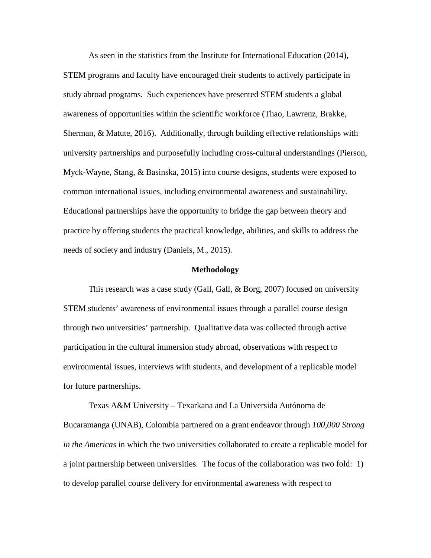As seen in the statistics from the Institute for International Education (2014), STEM programs and faculty have encouraged their students to actively participate in study abroad programs. Such experiences have presented STEM students a global awareness of opportunities within the scientific workforce (Thao, Lawrenz, Brakke, Sherman, & Matute, 2016). Additionally, through building effective relationships with university partnerships and purposefully including cross-cultural understandings (Pierson, Myck-Wayne, Stang, & Basinska, 2015) into course designs, students were exposed to common international issues, including environmental awareness and sustainability. Educational partnerships have the opportunity to bridge the gap between theory and practice by offering students the practical knowledge, abilities, and skills to address the needs of society and industry (Daniels, M., 2015).

#### **Methodology**

This research was a case study (Gall, Gall, & Borg, 2007) focused on university STEM students' awareness of environmental issues through a parallel course design through two universities' partnership. Qualitative data was collected through active participation in the cultural immersion study abroad, observations with respect to environmental issues, interviews with students, and development of a replicable model for future partnerships.

Texas A&M University – Texarkana and La Universida Autónoma de Bucaramanga (UNAB), Colombia partnered on a grant endeavor through *100,000 Strong in the Americas* in which the two universities collaborated to create a replicable model for a joint partnership between universities. The focus of the collaboration was two fold: 1) to develop parallel course delivery for environmental awareness with respect to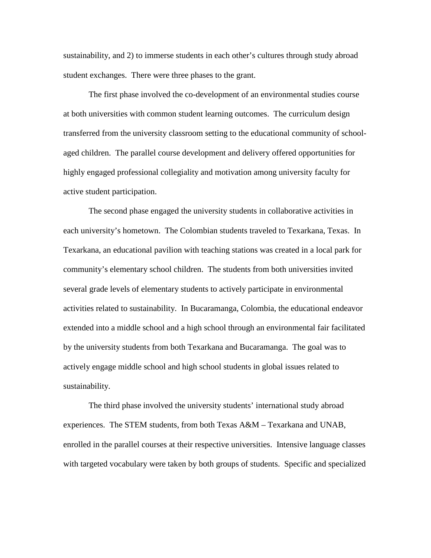sustainability, and 2) to immerse students in each other's cultures through study abroad student exchanges. There were three phases to the grant.

The first phase involved the co-development of an environmental studies course at both universities with common student learning outcomes. The curriculum design transferred from the university classroom setting to the educational community of schoolaged children. The parallel course development and delivery offered opportunities for highly engaged professional collegiality and motivation among university faculty for active student participation.

The second phase engaged the university students in collaborative activities in each university's hometown. The Colombian students traveled to Texarkana, Texas. In Texarkana, an educational pavilion with teaching stations was created in a local park for community's elementary school children. The students from both universities invited several grade levels of elementary students to actively participate in environmental activities related to sustainability. In Bucaramanga, Colombia, the educational endeavor extended into a middle school and a high school through an environmental fair facilitated by the university students from both Texarkana and Bucaramanga. The goal was to actively engage middle school and high school students in global issues related to sustainability.

The third phase involved the university students' international study abroad experiences. The STEM students, from both Texas A&M – Texarkana and UNAB, enrolled in the parallel courses at their respective universities. Intensive language classes with targeted vocabulary were taken by both groups of students. Specific and specialized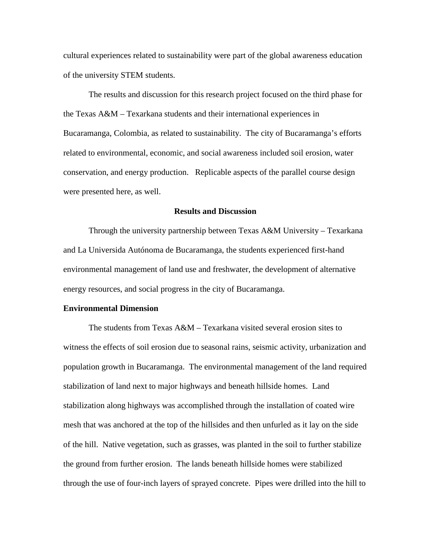cultural experiences related to sustainability were part of the global awareness education of the university STEM students.

The results and discussion for this research project focused on the third phase for the Texas A&M – Texarkana students and their international experiences in Bucaramanga, Colombia, as related to sustainability. The city of Bucaramanga's efforts related to environmental, economic, and social awareness included soil erosion, water conservation, and energy production. Replicable aspects of the parallel course design were presented here, as well.

# **Results and Discussion**

Through the university partnership between Texas A&M University – Texarkana and La Universida Autónoma de Bucaramanga, the students experienced first-hand environmental management of land use and freshwater, the development of alternative energy resources, and social progress in the city of Bucaramanga.

## **Environmental Dimension**

The students from Texas  $A\&M -$  Texarkana visited several erosion sites to witness the effects of soil erosion due to seasonal rains, seismic activity, urbanization and population growth in Bucaramanga. The environmental management of the land required stabilization of land next to major highways and beneath hillside homes. Land stabilization along highways was accomplished through the installation of coated wire mesh that was anchored at the top of the hillsides and then unfurled as it lay on the side of the hill. Native vegetation, such as grasses, was planted in the soil to further stabilize the ground from further erosion. The lands beneath hillside homes were stabilized through the use of four-inch layers of sprayed concrete. Pipes were drilled into the hill to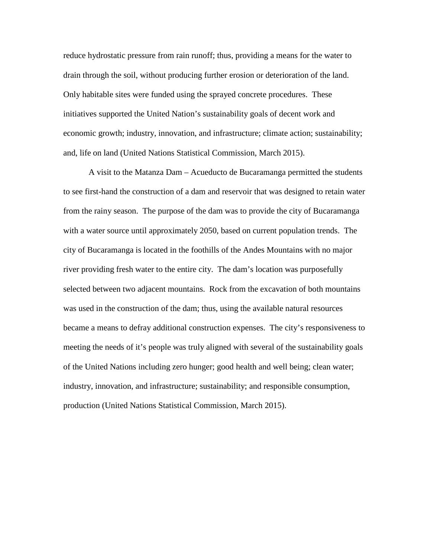reduce hydrostatic pressure from rain runoff; thus, providing a means for the water to drain through the soil, without producing further erosion or deterioration of the land. Only habitable sites were funded using the sprayed concrete procedures. These initiatives supported the United Nation's sustainability goals of decent work and economic growth; industry, innovation, and infrastructure; climate action; sustainability; and, life on land (United Nations Statistical Commission, March 2015).

A visit to the Matanza Dam – Acueducto de Bucaramanga permitted the students to see first-hand the construction of a dam and reservoir that was designed to retain water from the rainy season. The purpose of the dam was to provide the city of Bucaramanga with a water source until approximately 2050, based on current population trends. The city of Bucaramanga is located in the foothills of the Andes Mountains with no major river providing fresh water to the entire city. The dam's location was purposefully selected between two adjacent mountains. Rock from the excavation of both mountains was used in the construction of the dam; thus, using the available natural resources became a means to defray additional construction expenses. The city's responsiveness to meeting the needs of it's people was truly aligned with several of the sustainability goals of the United Nations including zero hunger; good health and well being; clean water; industry, innovation, and infrastructure; sustainability; and responsible consumption, production (United Nations Statistical Commission, March 2015).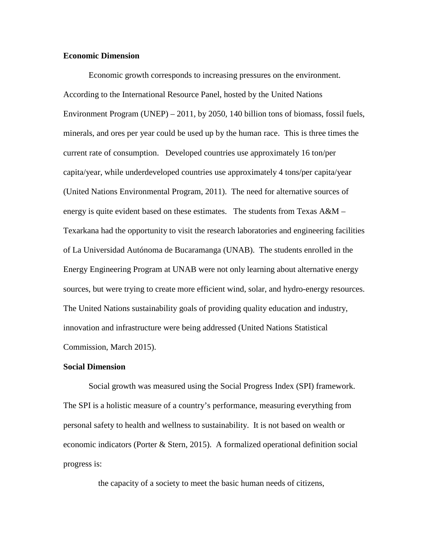# **Economic Dimension**

Economic growth corresponds to increasing pressures on the environment. According to the International Resource Panel, hosted by the United Nations Environment Program (UNEP) – 2011, by 2050, 140 billion tons of biomass, fossil fuels, minerals, and ores per year could be used up by the human race. This is three times the current rate of consumption. Developed countries use approximately 16 ton/per capita/year, while underdeveloped countries use approximately 4 tons/per capita/year (United Nations Environmental Program, 2011). The need for alternative sources of energy is quite evident based on these estimates. The students from Texas  $A\&M -$ Texarkana had the opportunity to visit the research laboratories and engineering facilities of La Universidad Autónoma de Bucaramanga (UNAB). The students enrolled in the Energy Engineering Program at UNAB were not only learning about alternative energy sources, but were trying to create more efficient wind, solar, and hydro-energy resources. The United Nations sustainability goals of providing quality education and industry, innovation and infrastructure were being addressed (United Nations Statistical Commission, March 2015).

#### **Social Dimension**

Social growth was measured using the Social Progress Index (SPI) framework. The SPI is a holistic measure of a country's performance, measuring everything from personal safety to health and wellness to sustainability. It is not based on wealth or economic indicators (Porter & Stern, 2015). A formalized operational definition social progress is:

the capacity of a society to meet the basic human needs of citizens,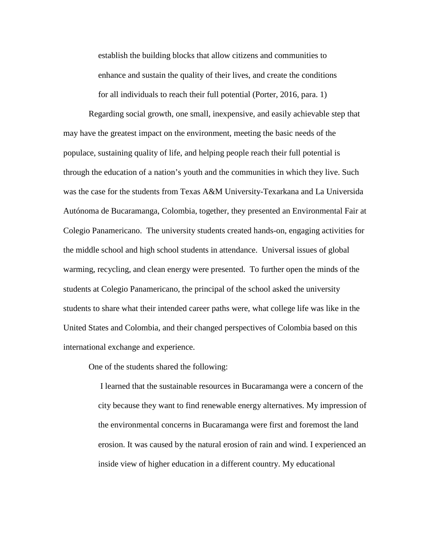establish the building blocks that allow citizens and communities to enhance and sustain the quality of their lives, and create the conditions for all individuals to reach their full potential (Porter, 2016, para. 1)

Regarding social growth, one small, inexpensive, and easily achievable step that may have the greatest impact on the environment, meeting the basic needs of the populace, sustaining quality of life, and helping people reach their full potential is through the education of a nation's youth and the communities in which they live. Such was the case for the students from Texas A&M University-Texarkana and La Universida Autónoma de Bucaramanga, Colombia, together, they presented an Environmental Fair at Colegio Panamericano. The university students created hands-on, engaging activities for the middle school and high school students in attendance. Universal issues of global warming, recycling, and clean energy were presented. To further open the minds of the students at Colegio Panamericano, the principal of the school asked the university students to share what their intended career paths were, what college life was like in the United States and Colombia, and their changed perspectives of Colombia based on this international exchange and experience.

One of the students shared the following:

I learned that the sustainable resources in Bucaramanga were a concern of the city because they want to find renewable energy alternatives. My impression of the environmental concerns in Bucaramanga were first and foremost the land erosion. It was caused by the natural erosion of rain and wind. I experienced an inside view of higher education in a different country. My educational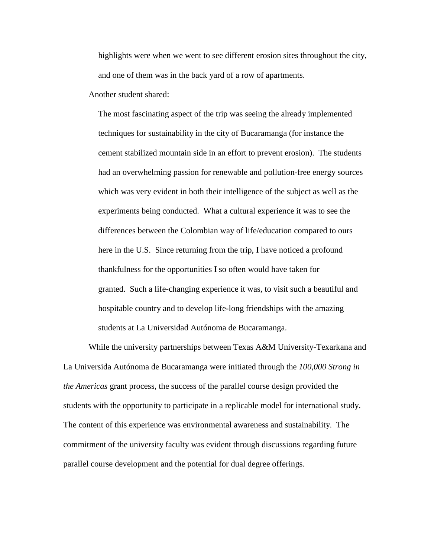highlights were when we went to see different erosion sites throughout the city, and one of them was in the back yard of a row of apartments.

Another student shared:

The most fascinating aspect of the trip was seeing the already implemented techniques for sustainability in the city of Bucaramanga (for instance the cement stabilized mountain side in an effort to prevent erosion). The students had an overwhelming passion for renewable and pollution-free energy sources which was very evident in both their intelligence of the subject as well as the experiments being conducted. What a cultural experience it was to see the differences between the Colombian way of life/education compared to ours here in the U.S. Since returning from the trip, I have noticed a profound thankfulness for the opportunities I so often would have taken for granted. Such a life-changing experience it was, to visit such a beautiful and hospitable country and to develop life-long friendships with the amazing students at La Universidad Autónoma de Bucaramanga.

While the university partnerships between Texas A&M University-Texarkana and La Universida Autónoma de Bucaramanga were initiated through the *100,000 Strong in the Americas* grant process, the success of the parallel course design provided the students with the opportunity to participate in a replicable model for international study. The content of this experience was environmental awareness and sustainability. The commitment of the university faculty was evident through discussions regarding future parallel course development and the potential for dual degree offerings.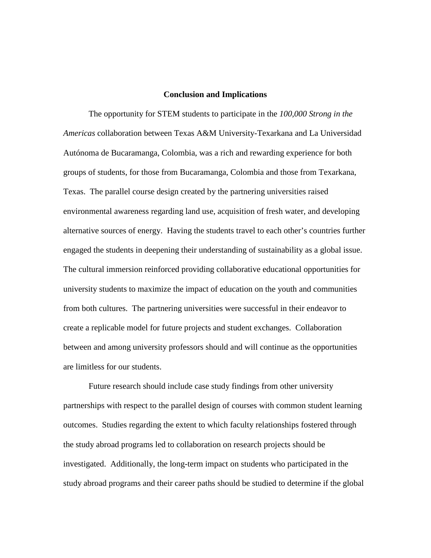# **Conclusion and Implications**

The opportunity for STEM students to participate in the *100,000 Strong in the Americas* collaboration between Texas A&M University-Texarkana and La Universidad Autónoma de Bucaramanga, Colombia, was a rich and rewarding experience for both groups of students, for those from Bucaramanga, Colombia and those from Texarkana, Texas. The parallel course design created by the partnering universities raised environmental awareness regarding land use, acquisition of fresh water, and developing alternative sources of energy. Having the students travel to each other's countries further engaged the students in deepening their understanding of sustainability as a global issue. The cultural immersion reinforced providing collaborative educational opportunities for university students to maximize the impact of education on the youth and communities from both cultures. The partnering universities were successful in their endeavor to create a replicable model for future projects and student exchanges. Collaboration between and among university professors should and will continue as the opportunities are limitless for our students.

Future research should include case study findings from other university partnerships with respect to the parallel design of courses with common student learning outcomes. Studies regarding the extent to which faculty relationships fostered through the study abroad programs led to collaboration on research projects should be investigated. Additionally, the long-term impact on students who participated in the study abroad programs and their career paths should be studied to determine if the global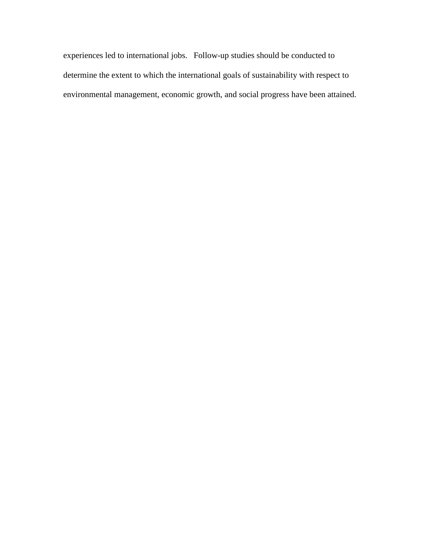experiences led to international jobs. Follow-up studies should be conducted to determine the extent to which the international goals of sustainability with respect to environmental management, economic growth, and social progress have been attained.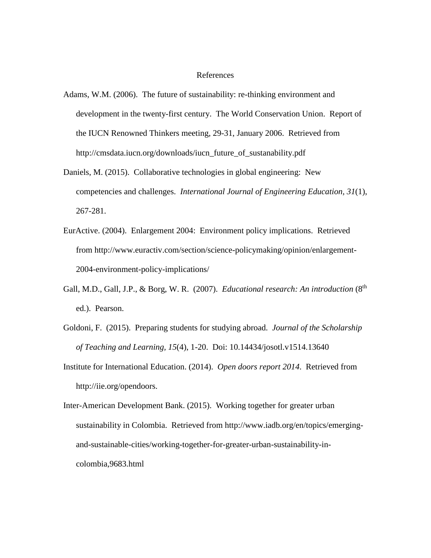# References

- Adams, W.M. (2006). The future of sustainability: re-thinking environment and development in the twenty-first century. The World Conservation Union. Report of the IUCN Renowned Thinkers meeting, 29-31, January 2006. Retrieved from http://cmsdata.iucn.org/downloads/iucn\_future\_of\_sustanability.pdf
- Daniels, M. (2015). Collaborative technologies in global engineering: New competencies and challenges. *International Journal of Engineering Education, 31*(1), 267-281.
- EurActive. (2004). Enlargement 2004: Environment policy implications. Retrieved from http://www.euractiv.com/section/science-policymaking/opinion/enlargement-2004-environment-policy-implications/
- Gall, M.D., Gall, J.P., & Borg, W. R. (2007). *Educational research: An introduction* (8<sup>th</sup>) ed.). Pearson.
- Goldoni, F. (2015). Preparing students for studying abroad. *Journal of the Scholarship of Teaching and Learning, 15*(4), 1-20. Doi: 10.14434/josotl.v1514.13640
- Institute for International Education. (2014). *Open doors report 2014*. Retrieved from [http://iie.org/opendoors.](http://iie.org/opendoors)
- Inter-American Development Bank. (2015). Working together for greater urban sustainability in Colombia. Retrieved from [http://www.iadb.org/en/topics/emerging](http://www.iadb.org/en/topics/emerging-and-sustainable-cities/working-together-for-greater-urban-sustainability-in-colombia,9683.html)[and-sustainable-cities/working-together-for-greater-urban-sustainability-in](http://www.iadb.org/en/topics/emerging-and-sustainable-cities/working-together-for-greater-urban-sustainability-in-colombia,9683.html)[colombia,9683.html](http://www.iadb.org/en/topics/emerging-and-sustainable-cities/working-together-for-greater-urban-sustainability-in-colombia,9683.html)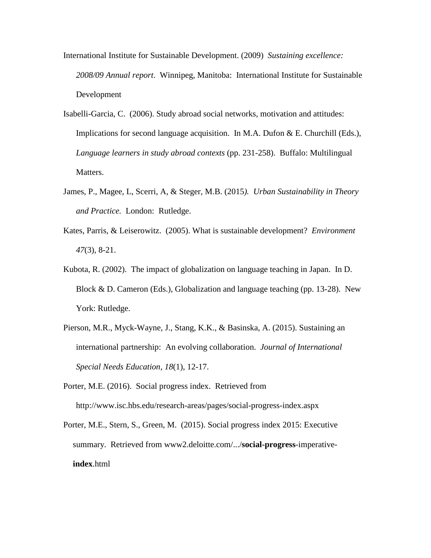- International Institute for Sustainable Development. (2009) *Sustaining excellence: 2008/09 Annual report*. Winnipeg, Manitoba: International Institute for Sustainable Development
- Isabelli-Garcia, C. (2006). Study abroad social networks, motivation and attitudes: Implications for second language acquisition. In M.A. Dufon & E. Churchill (Eds.), *Language learners in study abroad contexts* (pp. 231-258). Buffalo: Multilingual Matters.
- James, P., Magee, L, Scerri, A, & Steger, M.B. (2015*). Urban Sustainability in Theory and Practice.* London: Rutledge.
- Kates, Parris, & Leiserowitz. (2005). What is sustainable development? *Environment 47*(3), 8-21.
- Kubota, R. (2002). The impact of globalization on language teaching in Japan. In D. Block & D. Cameron (Eds.), Globalization and language teaching (pp. 13-28). New York: Rutledge.
- Pierson, M.R., Myck-Wayne, J., Stang, K.K., & Basinska, A. (2015). Sustaining an international partnership: An evolving collaboration. *Journal of International Special Needs Education, 18*(1), 12-17.
- Porter, M.E. (2016). Social progress index. Retrieved from http://www.isc.hbs.edu/research-areas/pages/social-progress-index.aspx
- Porter, M.E., Stern, S., Green, M. (2015). Social progress index 2015: Executive summary. Retrieved from www2.deloitte.com/.../**social-progress**-imperative**index**.html